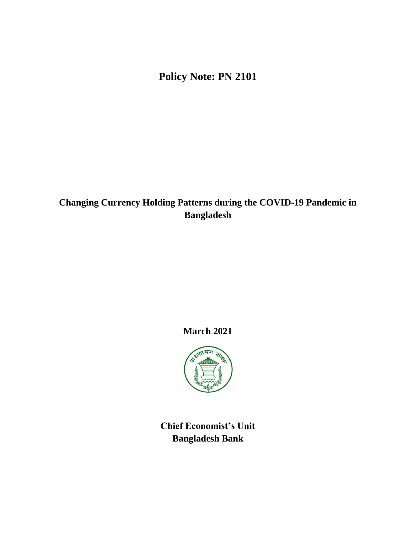**Policy Note: PN 2101**

# **Changing Currency Holding Patterns during the COVID-19 Pandemic in Bangladesh**

## **March 2021**



**Chief Economist's Unit Bangladesh Bank**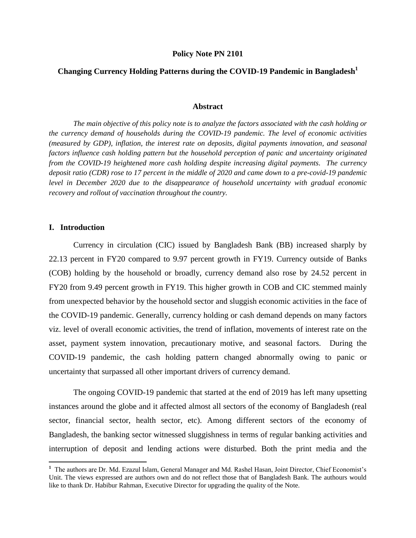#### **Policy Note PN 2101**

### **Changing Currency Holding Patterns during the COVID-19 Pandemic in Bangladesh<sup>1</sup>**

#### **Abstract**

*The main objective of this policy note is to analyze the factors associated with the cash holding or the currency demand of households during the COVID-19 pandemic. The level of economic activities (measured by GDP), inflation, the interest rate on deposits, digital payments innovation, and seasonal factors influence cash holding pattern but the household perception of panic and uncertainty originated from the COVID-19 heightened more cash holding despite increasing digital payments. The currency deposit ratio (CDR) rose to 17 percent in the middle of 2020 and came down to a pre-covid-19 pandemic level in December 2020 due to the disappearance of household uncertainty with gradual economic recovery and rollout of vaccination throughout the country.* 

#### **I. Introduction**

 $\overline{\phantom{a}}$ 

Currency in circulation (CIC) issued by Bangladesh Bank (BB) increased sharply by 22.13 percent in FY20 compared to 9.97 percent growth in FY19. Currency outside of Banks (COB) holding by the household or broadly, currency demand also rose by 24.52 percent in FY20 from 9.49 percent growth in FY19. This higher growth in COB and CIC stemmed mainly from unexpected behavior by the household sector and sluggish economic activities in the face of the COVID-19 pandemic. Generally, currency holding or cash demand depends on many factors viz. level of overall economic activities, the trend of inflation, movements of interest rate on the asset, payment system innovation, precautionary motive, and seasonal factors. During the COVID-19 pandemic, the cash holding pattern changed abnormally owing to panic or uncertainty that surpassed all other important drivers of currency demand.

The ongoing COVID-19 pandemic that started at the end of 2019 has left many upsetting instances around the globe and it affected almost all sectors of the economy of Bangladesh (real sector, financial sector, health sector, etc). Among different sectors of the economy of Bangladesh, the banking sector witnessed sluggishness in terms of regular banking activities and interruption of deposit and lending actions were disturbed. Both the print media and the

<sup>&</sup>lt;sup>1</sup> The authors are Dr. Md. Ezazul Islam, General Manager and Md. Rashel Hasan, Joint Director, Chief Economist's Unit. The views expressed are authors own and do not reflect those that of Bangladesh Bank. The authours would like to thank Dr. Habibur Rahman, Executive Director for upgrading the quality of the Note.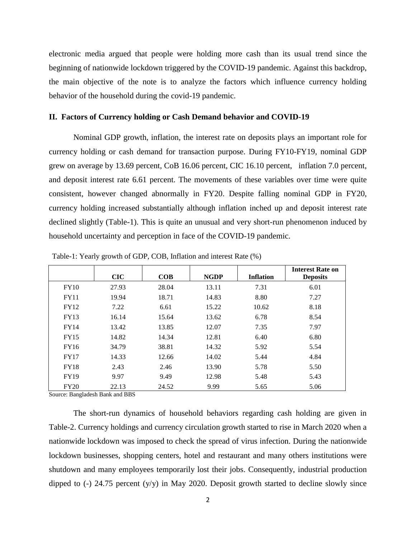electronic media argued that people were holding more cash than its usual trend since the beginning of nationwide lockdown triggered by the COVID-19 pandemic. Against this backdrop, the main objective of the note is to analyze the factors which influence currency holding behavior of the household during the covid-19 pandemic.

#### **II. Factors of Currency holding or Cash Demand behavior and COVID-19**

Nominal GDP growth, inflation, the interest rate on deposits plays an important role for currency holding or cash demand for transaction purpose. During FY10-FY19, nominal GDP grew on average by 13.69 percent, CoB 16.06 percent, CIC 16.10 percent, inflation 7.0 percent, and deposit interest rate 6.61 percent. The movements of these variables over time were quite consistent, however changed abnormally in FY20. Despite falling nominal GDP in FY20, currency holding increased substantially although inflation inched up and deposit interest rate declined slightly (Table-1). This is quite an unusual and very short-run phenomenon induced by household uncertainty and perception in face of the COVID-19 pandemic.

|             | CIC   | COB   | <b>NGDP</b> | <b>Inflation</b> | <b>Interest Rate on</b><br><b>Deposits</b> |
|-------------|-------|-------|-------------|------------------|--------------------------------------------|
| FY10        | 27.93 | 28.04 | 13.11       | 7.31             | 6.01                                       |
| <b>FY11</b> | 19.94 | 18.71 | 14.83       | 8.80             | 7.27                                       |
| <b>FY12</b> | 7.22  | 6.61  | 15.22       | 10.62            | 8.18                                       |
| <b>FY13</b> | 16.14 | 15.64 | 13.62       | 6.78             | 8.54                                       |
| <b>FY14</b> | 13.42 | 13.85 | 12.07       | 7.35             | 7.97                                       |
| <b>FY15</b> | 14.82 | 14.34 | 12.81       | 6.40             | 6.80                                       |
| FY16        | 34.79 | 38.81 | 14.32       | 5.92             | 5.54                                       |
| FY17        | 14.33 | 12.66 | 14.02       | 5.44             | 4.84                                       |
| <b>FY18</b> | 2.43  | 2.46  | 13.90       | 5.78             | 5.50                                       |
| <b>FY19</b> | 9.97  | 9.49  | 12.98       | 5.48             | 5.43                                       |
| <b>FY20</b> | 22.13 | 24.52 | 9.99        | 5.65             | 5.06                                       |

Table-1: Yearly growth of GDP, COB, Inflation and interest Rate (%)

Source: Bangladesh Bank and BBS

The short-run dynamics of household behaviors regarding cash holding are given in Table-2. Currency holdings and currency circulation growth started to rise in March 2020 when a nationwide lockdown was imposed to check the spread of virus infection. During the nationwide lockdown businesses, shopping centers, hotel and restaurant and many others institutions were shutdown and many employees temporarily lost their jobs. Consequently, industrial production dipped to  $(-)$  24.75 percent  $(y/y)$  in May 2020. Deposit growth started to decline slowly since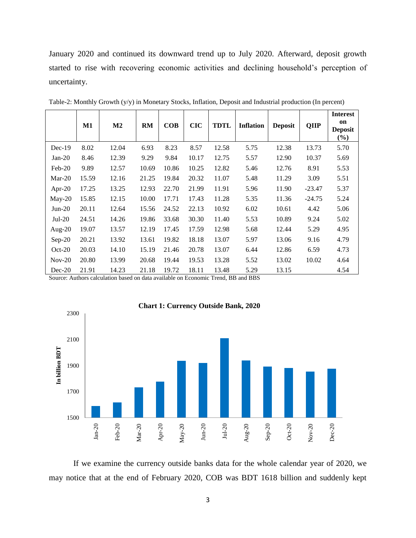January 2020 and continued its downward trend up to July 2020. Afterward, deposit growth started to rise with recovering economic activities and declining household's perception of uncertainty.

|           | $\mathbf{M1}$ | $\mathbf{M2}$ | <b>RM</b> | COB   | <b>CIC</b> | <b>TDTL</b> | <b>Inflation</b> | <b>Deposit</b> | <b>QIIP</b> | <b>Interest</b><br>on<br><b>Deposit</b><br>$(\%)$ |
|-----------|---------------|---------------|-----------|-------|------------|-------------|------------------|----------------|-------------|---------------------------------------------------|
| $Dec-19$  | 8.02          | 12.04         | 6.93      | 8.23  | 8.57       | 12.58       | 5.75             | 12.38          | 13.73       | 5.70                                              |
| $Jan-20$  | 8.46          | 12.39         | 9.29      | 9.84  | 10.17      | 12.75       | 5.57             | 12.90          | 10.37       | 5.69                                              |
| $Feb-20$  | 9.89          | 12.57         | 10.69     | 10.86 | 10.25      | 12.82       | 5.46             | 12.76          | 8.91        | 5.53                                              |
| $Mar-20$  | 15.59         | 12.16         | 21.25     | 19.84 | 20.32      | 11.07       | 5.48             | 11.29          | 3.09        | 5.51                                              |
| Apr-20    | 17.25         | 13.25         | 12.93     | 22.70 | 21.99      | 11.91       | 5.96             | 11.90          | $-23.47$    | 5.37                                              |
| $May-20$  | 15.85         | 12.15         | 10.00     | 17.71 | 17.43      | 11.28       | 5.35             | 11.36          | $-24.75$    | 5.24                                              |
| $Jun-20$  | 20.11         | 12.64         | 15.56     | 24.52 | 22.13      | 10.92       | 6.02             | 10.61          | 4.42        | 5.06                                              |
| $Jul-20$  | 24.51         | 14.26         | 19.86     | 33.68 | 30.30      | 11.40       | 5.53             | 10.89          | 9.24        | 5.02                                              |
| Aug- $20$ | 19.07         | 13.57         | 12.19     | 17.45 | 17.59      | 12.98       | 5.68             | 12.44          | 5.29        | 4.95                                              |
| $Sep-20$  | 20.21         | 13.92         | 13.61     | 19.82 | 18.18      | 13.07       | 5.97             | 13.06          | 9.16        | 4.79                                              |
| $Oct-20$  | 20.03         | 14.10         | 15.19     | 21.46 | 20.78      | 13.07       | 6.44             | 12.86          | 6.59        | 4.73                                              |
| $Nov-20$  | 20.80         | 13.99         | 20.68     | 19.44 | 19.53      | 13.28       | 5.52             | 13.02          | 10.02       | 4.64                                              |
| $Dec-20$  | 21.91         | 14.23         | 21.18     | 19.72 | 18.11      | 13.48       | 5.29             | 13.15          |             | 4.54                                              |

Table-2: Monthly Growth (y/y) in Monetary Stocks, Inflation, Deposit and Industrial production (In percent)

Source: Authors calculation based on data available on Economic Trend, BB and BBS



If we examine the currency outside banks data for the whole calendar year of 2020, we may notice that at the end of February 2020, COB was BDT 1618 billion and suddenly kept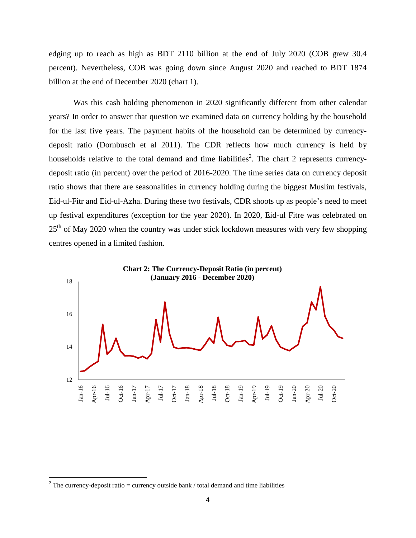edging up to reach as high as BDT 2110 billion at the end of July 2020 (COB grew 30.4 percent). Nevertheless, COB was going down since August 2020 and reached to BDT 1874 billion at the end of December 2020 (chart 1).

Was this cash holding phenomenon in 2020 significantly different from other calendar years? In order to answer that question we examined data on currency holding by the household for the last five years. The payment habits of the household can be determined by currencydeposit ratio (Dornbusch et al 2011). The CDR reflects how much currency is held by households relative to the total demand and time liabilities<sup>2</sup>. The chart 2 represents currencydeposit ratio (in percent) over the period of 2016-2020. The time series data on currency deposit ratio shows that there are seasonalities in currency holding during the biggest Muslim festivals, Eid-ul-Fitr and Eid-ul-Azha. During these two festivals, CDR shoots up as people's need to meet up festival expenditures (exception for the year 2020). In 2020, Eid-ul Fitre was celebrated on  $25<sup>th</sup>$  of May 2020 when the country was under stick lockdown measures with very few shopping centres opened in a limited fashion.



 $\overline{\phantom{a}}$ 

<sup>&</sup>lt;sup>2</sup> The currency-deposit ratio = currency outside bank / total demand and time liabilities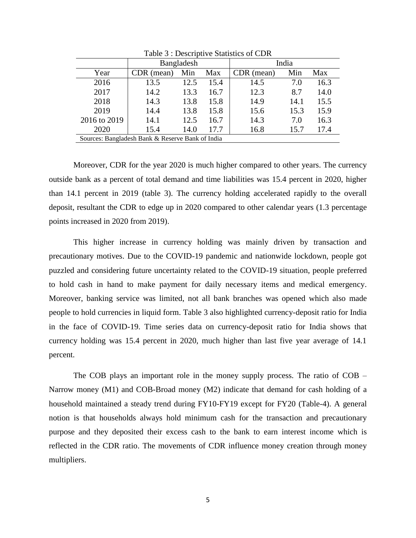|                                                  | Bangladesh |      |      | India      |      |      |  |
|--------------------------------------------------|------------|------|------|------------|------|------|--|
| Year                                             | CDR (mean) | Min  | Max  | CDR (mean) | Min  | Max  |  |
| 2016                                             | 13.5       | 12.5 | 15.4 | 14.5       | 7.0  | 16.3 |  |
| 2017                                             | 14.2       | 13.3 | 16.7 | 12.3       | 8.7  | 14.0 |  |
| 2018                                             | 14.3       | 13.8 | 15.8 | 14.9       | 14.1 | 15.5 |  |
| 2019                                             | 14.4       | 13.8 | 15.8 | 15.6       | 15.3 | 15.9 |  |
| 2016 to 2019                                     | 14.1       | 12.5 | 16.7 | 14.3       | 7.0  | 16.3 |  |
| 2020                                             | 15.4       | 14.0 | 17.7 | 16.8       | 15.7 | 17.4 |  |
| Sources: Bangladesh Bank & Reserve Bank of India |            |      |      |            |      |      |  |

Table 3 : Descriptive Statistics of CDR

Moreover, CDR for the year 2020 is much higher compared to other years. The currency outside bank as a percent of total demand and time liabilities was 15.4 percent in 2020, higher than 14.1 percent in 2019 (table 3). The currency holding accelerated rapidly to the overall deposit, resultant the CDR to edge up in 2020 compared to other calendar years (1.3 percentage points increased in 2020 from 2019).

This higher increase in currency holding was mainly driven by transaction and precautionary motives. Due to the COVID-19 pandemic and nationwide lockdown, people got puzzled and considering future uncertainty related to the COVID-19 situation, people preferred to hold cash in hand to make payment for daily necessary items and medical emergency. Moreover, banking service was limited, not all bank branches was opened which also made people to hold currencies in liquid form. Table 3 also highlighted currency-deposit ratio for India in the face of COVID-19. Time series data on currency-deposit ratio for India shows that currency holding was 15.4 percent in 2020, much higher than last five year average of 14.1 percent.

The COB plays an important role in the money supply process. The ratio of COB – Narrow money (M1) and COB-Broad money (M2) indicate that demand for cash holding of a household maintained a steady trend during FY10-FY19 except for FY20 (Table-4). A general notion is that households always hold minimum cash for the transaction and precautionary purpose and they deposited their excess cash to the bank to earn interest income which is reflected in the CDR ratio. The movements of CDR influence money creation through money multipliers.